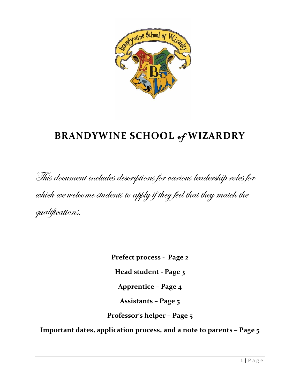

# **BRANDYWINE SCHOOL** of **WIZARDRY**

This document includes descriptions for various leadership roles for which we welcome students to apply if they feel that they match the qualifications.

**Prefect process - Page 2**

**Head student - Page 3**

**Apprentice – Page 4**

**Assistants – Page 5**

**Professor's helper – Page 5**

**Important dates, application process, and a note to parents – Page 5**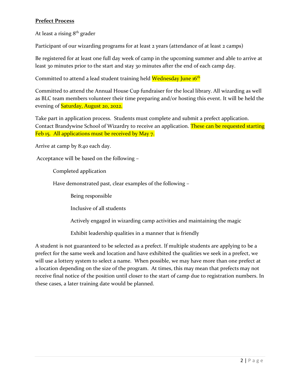# **Prefect Process**

At least a rising  $8<sup>th</sup>$  grader

Participant of our wizarding programs for at least 2 years (attendance of at least 2 camps)

Be registered for at least one full day week of camp in the upcoming summer and able to arrive at least 30 minutes prior to the start and stay 30 minutes after the end of each camp day.

Committed to attend a lead student training held Wednesday June 16<sup>th</sup>

Committed to attend the Annual House Cup fundraiser for the local library. All wizarding as well as BLC team members volunteer their time preparing and/or hosting this event. It will be held the evening of **Saturday**, August 20, 2022.

Take part in application process. Students must complete and submit a prefect application. Contact Brandywine School of Wizardry to receive an application. These can be requested starting Feb 15. All applications must be received by May 7.

Arrive at camp by 8:40 each day.

Acceptance will be based on the following –

Completed application

Have demonstrated past, clear examples of the following –

Being responsible

Inclusive of all students

Actively engaged in wizarding camp activities and maintaining the magic

Exhibit leadership qualities in a manner that is friendly

A student is not guaranteed to be selected as a prefect. If multiple students are applying to be a prefect for the same week and location and have exhibited the qualities we seek in a prefect, we will use a lottery system to select a name. When possible, we may have more than one prefect at a location depending on the size of the program. At times, this may mean that prefects may not receive final notice of the position until closer to the start of camp due to registration numbers. In these cases, a later training date would be planned.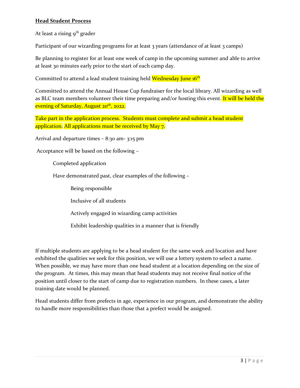# **Head Student Process**

At least a rising  $9<sup>th</sup>$  grader

Participant of our wizarding programs for at least 3 years (attendance of at least 3 camps)

Be planning to register for at least one week of camp in the upcoming summer and able to arrive at least 30 minutes early prior to the start of each camp day.

Committed to attend a lead student training held Wednesday June 16<sup>th</sup>

Committed to attend the Annual House Cup fundraiser for the local library. All wizarding as well as BLC team members volunteer their time preparing and/or hosting this event. It will be held the evening of Saturday, August 20<sup>th</sup>, 2022.

Take part in the application process. Students must complete and submit a head student application. All applications must be received by May 7.

Arrival and departure times – 8:30 am- 3:15 pm

Acceptance will be based on the following –

Completed application

Have demonstrated past, clear examples of the following –

Being responsible

Inclusive of all students

Actively engaged in wizarding camp activities

Exhibit leadership qualities in a manner that is friendly

If multiple students are applying to be a head student for the same week and location and have exhibited the qualities we seek for this position, we will use a lottery system to select a name. When possible, we may have more than one head student at a location depending on the size of the program. At times, this may mean that head students may not receive final notice of the position until closer to the start of camp due to registration numbers. In these cases, a later training date would be planned.

Head students differ from prefects in age, experience in our program, and demonstrate the ability to handle more responsibilities than those that a prefect would be assigned.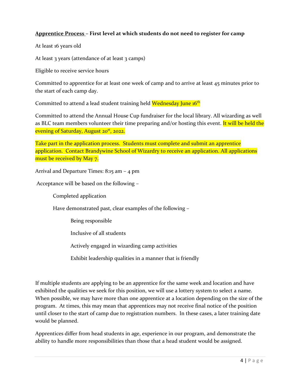# **Apprentice Process – First level at which students do not need to register for camp**

At least 16 years old

At least 3 years (attendance of at least 3 camps)

Eligible to receive service hours

Committed to apprentice for at least one week of camp and to arrive at least 45 minutes prior to the start of each camp day.

Committed to attend a lead student training held Wednesday June 16<sup>th</sup>

Committed to attend the Annual House Cup fundraiser for the local library. All wizarding as well as BLC team members volunteer their time preparing and/or hosting this event. It will be held the evening of Saturday, August 20<sup>st</sup>, 2022.

Take part in the application process. Students must complete and submit an apprentice application. Contact Brandywine School of Wizardry to receive an application. All applications must be received by May 7.

Arrival and Departure Times: 8:15 am – 4 pm

Acceptance will be based on the following –

Completed application

Have demonstrated past, clear examples of the following –

Being responsible

Inclusive of all students

Actively engaged in wizarding camp activities

Exhibit leadership qualities in a manner that is friendly

If multiple students are applying to be an apprentice for the same week and location and have exhibited the qualities we seek for this position, we will use a lottery system to select a name. When possible, we may have more than one apprentice at a location depending on the size of the program. At times, this may mean that apprentices may not receive final notice of the position until closer to the start of camp due to registration numbers. In these cases, a later training date would be planned.

Apprentices differ from head students in age, experience in our program, and demonstrate the ability to handle more responsibilities than those that a head student would be assigned.